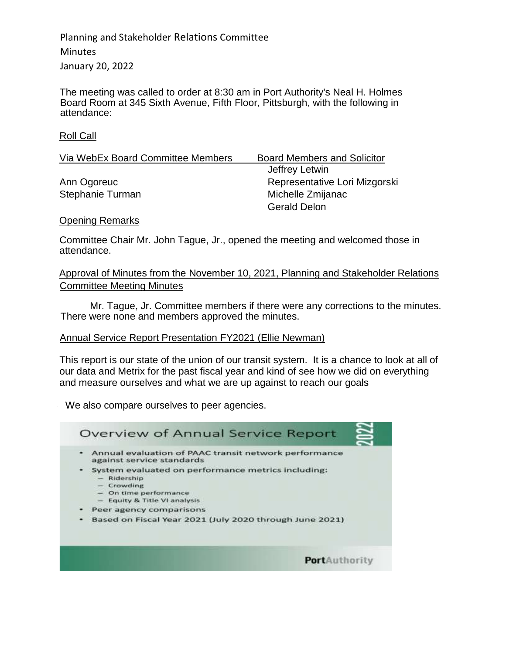The meeting was called to order at 8:30 am in Port Authority's Neal H. Holmes Board Room at 345 Sixth Avenue, Fifth Floor, Pittsburgh, with the following in attendance:

Roll Call

| Via WebEx Board Committee Members | <b>Board Members and Solicitor</b> |
|-----------------------------------|------------------------------------|
|                                   | Jeffrey Letwin                     |
| Ann Ogoreuc                       | Representative Lori Mizgorski      |
| Stephanie Turman                  | Michelle Zmijanac                  |
|                                   | <b>Gerald Delon</b>                |

#### Opening Remarks

Committee Chair Mr. John Tague, Jr., opened the meeting and welcomed those in attendance.

Approval of Minutes from the November 10, 2021, Planning and Stakeholder Relations Committee Meeting Minutes

Mr. Tague, Jr. Committee members if there were any corrections to the minutes. There were none and members approved the minutes.

### Annual Service Report Presentation FY2021 (Ellie Newman)

This report is our state of the union of our transit system. It is a chance to look at all of our data and Metrix for the past fiscal year and kind of see how we did on everything and measure ourselves and what we are up against to reach our goals

We also compare ourselves to peer agencies.

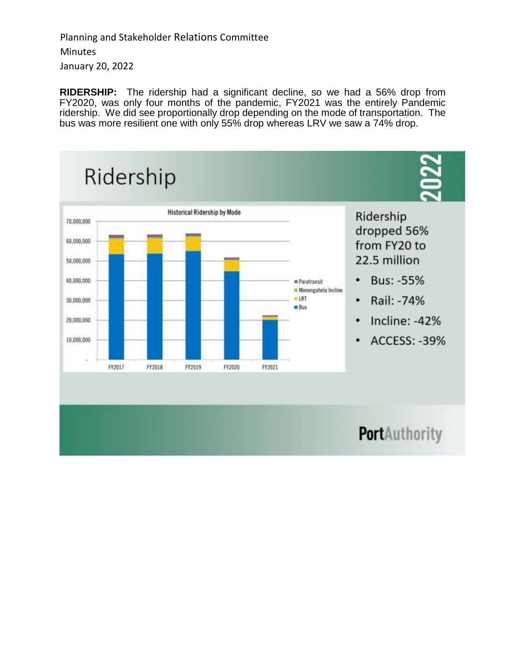**RIDERSHIP:** The ridership had a significant decline, so we had a 56% drop from FY2020, was only four months of the pandemic, FY2021 was the entirely Pandemic ridership. We did see proportionally drop depending on the mode of transportation. The bus was more resilient one with only 55% drop whereas LRV we saw a 74% drop.

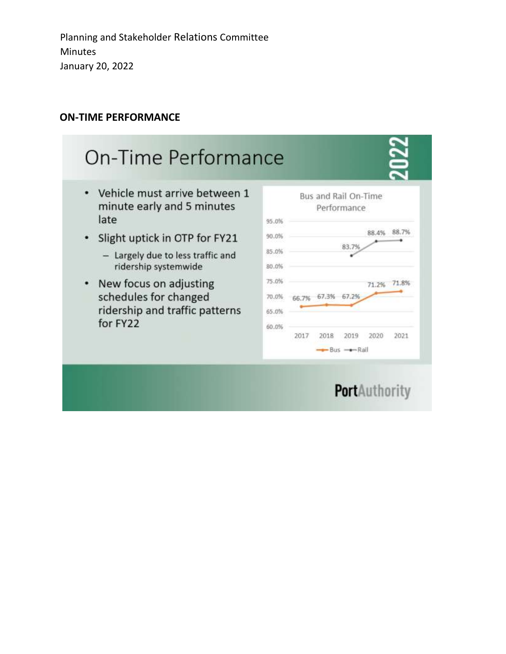## **ON-TIME PERFORMANCE**

#### On-Time Performance • Vehicle must arrive between 1 Bus and Rail On-Time minute early and 5 minutes Performance late 95.0% 88.4% 88.7% Slight uptick in OTP for FY21 90.0% . 83.7% 85.0% - Largely due to less traffic and ridership systemwide 80.0% New focus on adjusting 75.0%  $\bullet$ 71.2% 71.8% schedules for changed 66.7% 67.3% 67.2% 70.0% ridership and traffic patterns 65.0% for FY22 60.0% 2017 2018 2019 2020 2021  $Bus$  - Rail

# **PortAuthority**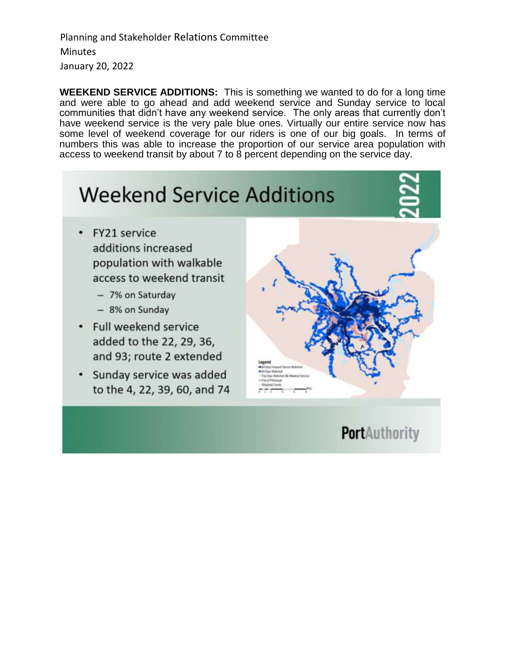**WEEKEND SERVICE ADDITIONS:** This is something we wanted to do for a long time and were able to go ahead and add weekend service and Sunday service to local communities that didn't have any weekend service. The only areas that currently don't have weekend service is the very pale blue ones. Virtually our entire service now has some level of weekend coverage for our riders is one of our big goals. In terms of numbers this was able to increase the proportion of our service area population with access to weekend transit by about 7 to 8 percent depending on the service day.

## **Weekend Service Additions** FY21 service  $\bullet$ additions increased population with walkable access to weekend transit - 7% on Saturday - 8% on Sunday Full weekend service added to the 22, 29, 36, and 93; route 2 extended Sunday service was added to the 4, 22, 39, 60, and 74

**PortAuthority**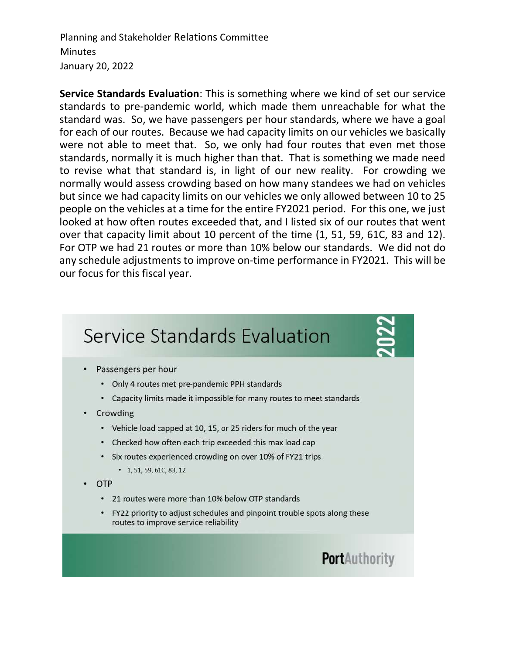**Service Standards Evaluation**: This is something where we kind of set our service standards to pre-pandemic world, which made them unreachable for what the standard was. So, we have passengers per hour standards, where we have a goal for each of our routes. Because we had capacity limits on our vehicles we basically were not able to meet that. So, we only had four routes that even met those standards, normally it is much higher than that. That is something we made need to revise what that standard is, in light of our new reality. For crowding we normally would assess crowding based on how many standees we had on vehicles but since we had capacity limits on our vehicles we only allowed between 10 to 25 people on the vehicles at a time for the entire FY2021 period. For this one, we just looked at how often routes exceeded that, and I listed six of our routes that went over that capacity limit about 10 percent of the time (1, 51, 59, 61C, 83 and 12). For OTP we had 21 routes or more than 10% below our standards. We did not do any schedule adjustments to improve on-time performance in FY2021. This will be our focus for this fiscal year.

# **Service Standards Evaluation**

- Passengers per hour
	- Only 4 routes met pre-pandemic PPH standards
	- Capacity limits made it impossible for many routes to meet standards
- Crowding
	- Vehicle load capped at 10, 15, or 25 riders for much of the year
	- Checked how often each trip exceeded this max load cap
	- Six routes experienced crowding on over 10% of FY21 trips
		- $\cdot$  1, 51, 59, 61C, 83, 12
- **OTP** 
	- 21 routes were more than 10% below OTP standards
	- FY22 priority to adjust schedules and pinpoint trouble spots along these routes to improve service reliability

## **PortAuthority**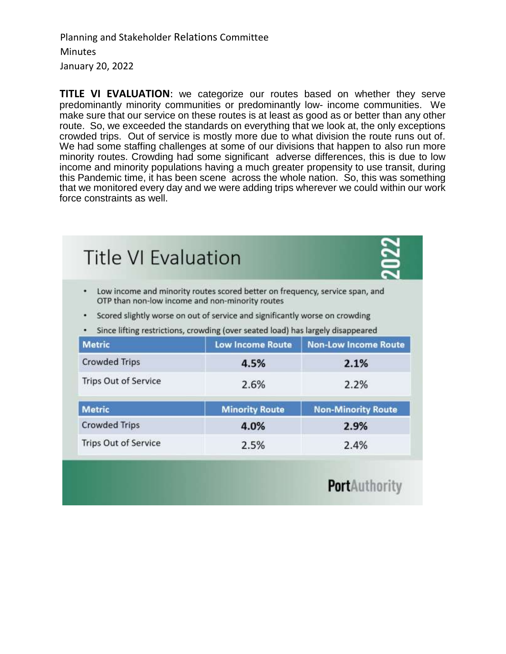**TITLE VI EVALUATION**: we categorize our routes based on whether they serve predominantly minority communities or predominantly low- income communities. We make sure that our service on these routes is at least as good as or better than any other route. So, we exceeded the standards on everything that we look at, the only exceptions crowded trips. Out of service is mostly more due to what division the route runs out of. We had some staffing challenges at some of our divisions that happen to also run more minority routes. Crowding had some significant adverse differences, this is due to low income and minority populations having a much greater propensity to use transit, during this Pandemic time, it has been scene across the whole nation. So, this was something that we monitored every day and we were adding trips wherever we could within our work force constraints as well.

| ٠                           | Low income and minority routes scored better on frequency, service span, and<br>OTP than non-low income and non-minority routes<br>Scored slightly worse on out of service and significantly worse on crowding<br>Since lifting restrictions, crowding (over seated load) has largely disappeared |                             |
|-----------------------------|---------------------------------------------------------------------------------------------------------------------------------------------------------------------------------------------------------------------------------------------------------------------------------------------------|-----------------------------|
| <b>Metric</b>               | <b>Low Income Route</b>                                                                                                                                                                                                                                                                           | <b>Non-Low Income Route</b> |
| <b>Crowded Trips</b>        | 4.5%                                                                                                                                                                                                                                                                                              | 2.1%                        |
| <b>Trips Out of Service</b> | 2.6%                                                                                                                                                                                                                                                                                              | 2.2%                        |
| <b>Metric</b>               | <b>Minority Route</b>                                                                                                                                                                                                                                                                             | <b>Non-Minority Route</b>   |
| <b>Crowded Trips</b>        | 4.0%                                                                                                                                                                                                                                                                                              | 2.9%                        |
| <b>Trips Out of Service</b> | 2.5%                                                                                                                                                                                                                                                                                              | 2.4%                        |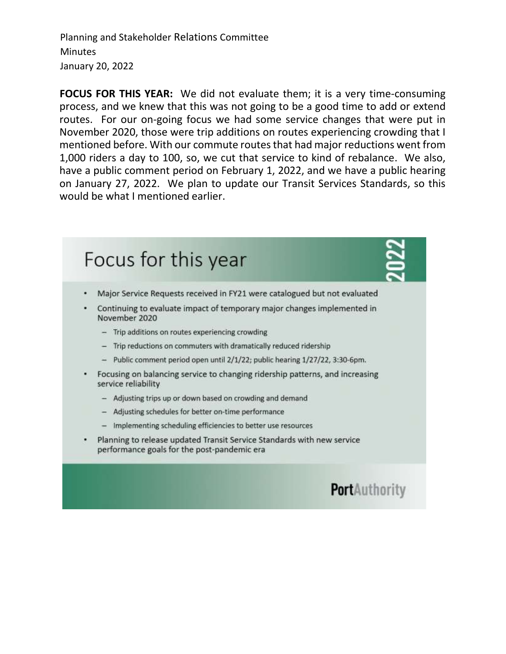**FOCUS FOR THIS YEAR:** We did not evaluate them; it is a very time-consuming process, and we knew that this was not going to be a good time to add or extend routes. For our on-going focus we had some service changes that were put in November 2020, those were trip additions on routes experiencing crowding that I mentioned before. With our commute routes that had major reductions went from 1,000 riders a day to 100, so, we cut that service to kind of rebalance. We also, have a public comment period on February 1, 2022, and we have a public hearing on January 27, 2022. We plan to update our Transit Services Standards, so this would be what I mentioned earlier.